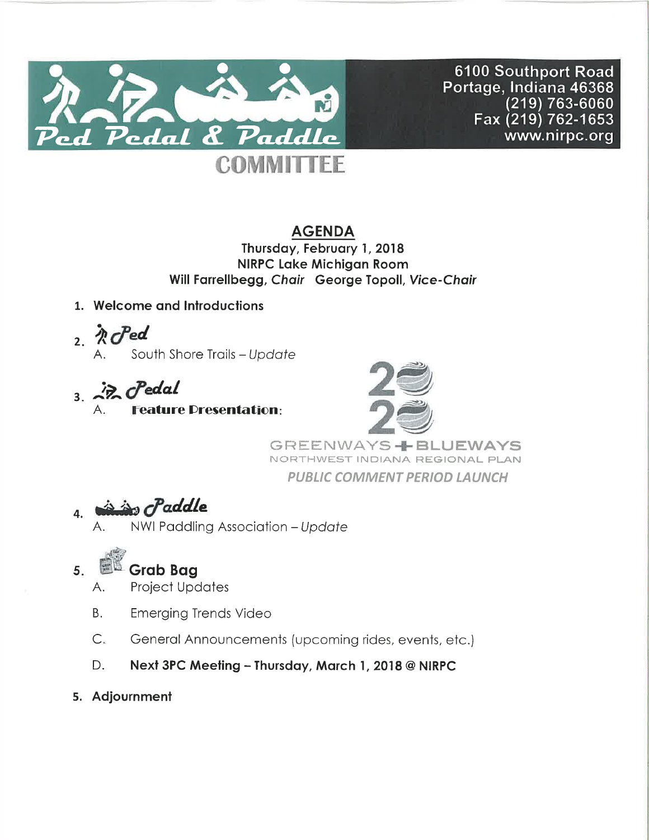

6100 Southport Road Portage, Indiana 46368  $(219)\,763$ -6060 Fax (219) 762-1653 www.nirpc.org

# **AGENDA**

Thursday, February 1, 2018 **NIRPC Lake Michigan Room** Will Farrellbegg, Chair George Topoll, Vice-Chair

- 1. Welcome and Introductions
- $2.$  R  $C$  ed South Shore Trails - Update
- $3.22$   $\sigma$  edal **Feature Presentation:**



**GREENWAYS-LBLUEWAYS** NORTHWEST INDIANA REGIONAL PLAN **PUBLIC COMMENT PERIOD LAUNCH** 

#### in Paddle 4.

NWI Paddling Association - Update

### **Grab Bag**  $5.$

- **Project Updates** А.
- Emerging Trends Video **B.**
- $C_{1}$ General Announcements (upcoming rides, events, etc.)
- D. Next 3PC Meeting - Thursday, March 1, 2018@NIRPC
- 5. Adjournment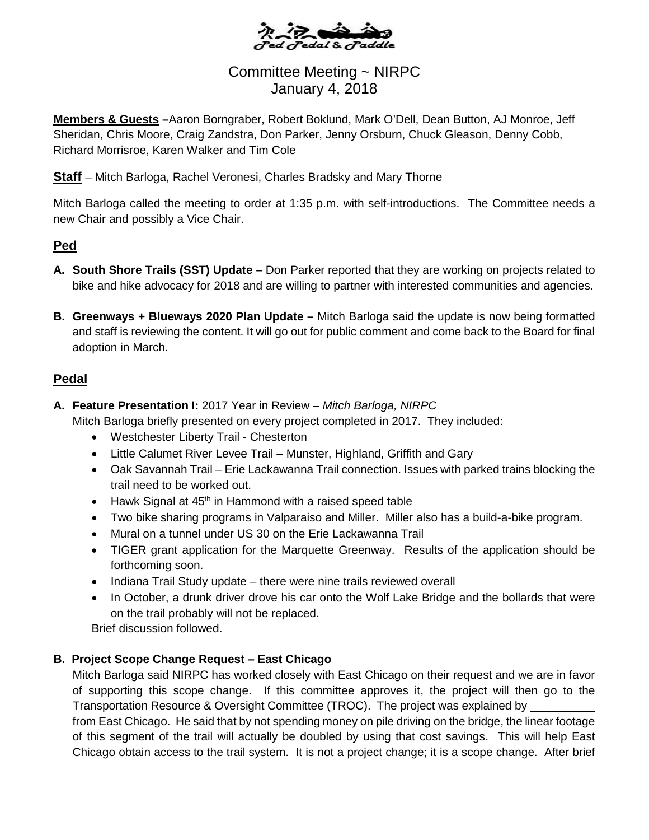

# Committee Meeting ~ NIRPC January 4, 2018

**Members & Guests –**Aaron Borngraber, Robert Boklund, Mark O'Dell, Dean Button, AJ Monroe, Jeff Sheridan, Chris Moore, Craig Zandstra, Don Parker, Jenny Orsburn, Chuck Gleason, Denny Cobb, Richard Morrisroe, Karen Walker and Tim Cole

**Staff** – Mitch Barloga, Rachel Veronesi, Charles Bradsky and Mary Thorne

Mitch Barloga called the meeting to order at 1:35 p.m. with self-introductions. The Committee needs a new Chair and possibly a Vice Chair.

# **Ped**

- **A. South Shore Trails (SST) Update –** Don Parker reported that they are working on projects related to bike and hike advocacy for 2018 and are willing to partner with interested communities and agencies.
- **B. Greenways + Blueways 2020 Plan Update –** Mitch Barloga said the update is now being formatted and staff is reviewing the content. It will go out for public comment and come back to the Board for final adoption in March.

# **Pedal**

**A. Feature Presentation I:** 2017 Year in Review *– Mitch Barloga, NIRPC*

Mitch Barloga briefly presented on every project completed in 2017. They included:

- Westchester Liberty Trail Chesterton
- Little Calumet River Levee Trail Munster, Highland, Griffith and Gary
- Oak Savannah Trail Erie Lackawanna Trail connection. Issues with parked trains blocking the trail need to be worked out.
- Hawk Signal at  $45<sup>th</sup>$  in Hammond with a raised speed table
- Two bike sharing programs in Valparaiso and Miller. Miller also has a build-a-bike program.
- Mural on a tunnel under US 30 on the Erie Lackawanna Trail
- TIGER grant application for the Marquette Greenway. Results of the application should be forthcoming soon.
- Indiana Trail Study update there were nine trails reviewed overall
- In October, a drunk driver drove his car onto the Wolf Lake Bridge and the bollards that were on the trail probably will not be replaced.

Brief discussion followed.

### **B. Project Scope Change Request – East Chicago**

Mitch Barloga said NIRPC has worked closely with East Chicago on their request and we are in favor of supporting this scope change. If this committee approves it, the project will then go to the Transportation Resource & Oversight Committee (TROC). The project was explained by from East Chicago. He said that by not spending money on pile driving on the bridge, the linear footage of this segment of the trail will actually be doubled by using that cost savings. This will help East Chicago obtain access to the trail system. It is not a project change; it is a scope change. After brief